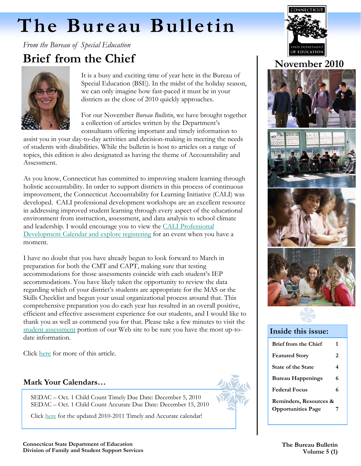# <span id="page-0-0"></span> **The Bureau Bulletin**

*From the Bureau of Special Education* 

# **Brief from the Chief**



It is a busy and exciting time of year here in the Bureau of Special Education (BSE). In the midst of the holiday season, we can only imagine how fast-paced it must be in your districts as the close of 2010 quickly approaches.

For our November *Bureau Bulletin*, we have brought together a collection of articles written by the Department's consultants offering important and timely information to

assist you in your day-to-day activities and decision-making in meeting the needs of students with disabilities. While the bulletin is host to articles on a range of topics, this edition is also designated as having the theme of Accountability and Assessment.

As you know, Connecticut has committed to improving student learning through holistic accountability. In order to support districts in this process of continuous improvement, the Connecticut Accountability for Learning Initiative (CALI) was developed. CALI professional development workshops are an excellent resource in addressing improved student learning through every aspect of the educational environment from instruction, assessment, and data analysis to school climate and leadership. I would encourage you to view the [CALI Professional](http://www.sdecali.net/)  [Development Calendar and explore registering](http://www.sdecali.net/) for an event when you have a moment.

I have no doubt that you have already begun to look forward to March in preparation for both the CMT and CAPT, making sure that testing accommodations for those assessments coincide with each student's IEP accommodations. You have likely taken the opportunity to review the data regarding which of your district's students are appropriate for the MAS or the Skills Checklist and begun your usual organizational process around that. This comprehensive preparation you do each year has resulted in an overall positive, efficient and effective assessment experience for our students, and I would like to thank you as well as commend you for that. Please take a few minutes to visit the [student assessment](http://www.csde.state.ct.us/public/cedar/assessment/index.htm) portion of our Web site to be sure you have the most up-todate information.

Click [here](http://ctserc.org/bb/winter2010/Brief%20from%20the%20Chief%20November2010BB.pdf) for more of this article.

# **Mark Your Calendars…**

SEDAC – Oct. 1 Child Count Timely Due Date: December 5, 2010 SEDAC – Oct. 1 Child Count Accurate Due Date: December 15, 2010

Click [here](http://ctserc.org/bb/winter2010/timely%20%20accurate%20calendar%201011.ATTACHMENT%20for%20MARK%20YOUR%20CALENDARS.pdf) for the updated 2010-2011 Timely and Accurate calendar!



ī

# **November 2010**



#### **Inside this issue:**

| <b>Brief from the Chief</b> | 1 |  |
|-----------------------------|---|--|
| <b>Featured Story</b>       | 2 |  |
| <b>State of the State</b>   | 4 |  |
| <b>Bureau Happenings</b>    | 6 |  |
| <b>Federal Focus</b>        | 6 |  |
| Reminders, Resources &      |   |  |
| <b>Opportunities Page</b>   | 7 |  |

**Connecticut State Department of Education Division of Family and Student Support Services**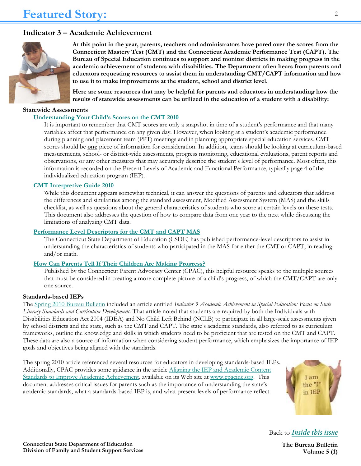### **Indicator 3 – Academic Achievement**



**At this point in the year, parents, teachers and administrators have pored over the scores from the Connecticut Mastery Test (CMT) and the Connecticut Academic Performance Test (CAPT). The Bureau of Special Education continues to support and monitor districts in making progress in the academic achievement of students with disabilities. The Department often hears from parents and educators requesting resources to assist them in understanding CMT/CAPT information and how to use it to make improvements at the student, school and district level.** 

**Here are some resources that may be helpful for parents and educators in understanding how the results of statewide assessments can be utilized in the education of a student with a disability:** 

#### **Statewide Assessments**

#### **[Understanding Your Child's Scores on the CMT 2010](http://www.csde.state.ct.us/public/cedar/assessment/cmt/resources/misc_cmt/2009_CMT_Understanding_Test_Scores.pdf)**

It is important to remember that CMT scores are only a snapshot in time of a student's performance and that many variables affect that performance on any given day. However, when looking at a student's academic performance during planning and placement team (PPT) meetings and in planning appropriate special education services, CMT scores should be **one** piece of information for consideration. In addition, teams should be looking at curriculum-based measurements, school- or district-wide assessments, progress monitoring, educational evaluations, parent reports and observations, or any other measures that may accurately describe the student's level of performance. Most often, this information is recorded on the Present Levels of Academic and Functional Performance, typically page 4 of the individualized education program (IEP).

#### **[CMT Interpretive Guide 2010](http://www.csde.state.ct.us/public/cedar/assessment/cmt/resources/dtc/2010CMTInterpretiveGuideFinal.pdf)**

While this document appears somewhat technical, it can answer the questions of parents and educators that address the differences and similarities among the standard assessment, Modified Assessment System (MAS) and the skills checklist, as well as questions about the general characteristics of students who score at certain levels on these tests. This document also addresses the question of how to compare data from one year to the next while discussing the limitations of analyzing CMT data.

#### **[Performance Level Descriptors for the CMT and CAPT MAS](http://www.csde.state.ct.us/public/cedar/assessment/mas/index.htm)**

The Connecticut State Department of Education (CSDE) has published performance-level descriptors to assist in understanding the characteristics of students who participated in the MAS for either the CMT or CAPT, in reading and/or math.

#### **[How Can Parents Tell If Their Children Are Making Progress?](http://www.cpacinc.org/materials-publications/programming-and-placement/how-can-parents-tell-if-their-child-is-making-progress/)**

Published by the Connecticut Parent Advocacy Center (CPAC), this helpful resource speaks to the multiple sources that must be considered in creating a more complete picture of a child's progress, of which the CMT/CAPT are only one source.

#### **Standards-based IEPs**

The Spring [2010 Bureau Bulletin](http://www.sde.ct.gov/sde/lib/sde/PDF/DEPS/Special/Updates/BulletinSpring2010.pdf) included an article entitled *Indicator 3 Academic Achievement in Special Education: Focus on State Literacy Standards and Curriculum Development*. That article noted that students are required by both the Individuals with Disabilities Education Act 2004 (IDEA) and No Child Left Behind (NCLB) to participate in all large-scale assessments given by school districts and the state, such as the CMT and CAPT. The state's academic standards, also referred to as curriculum frameworks, outline the knowledge and skills in which students need to be proficient that are tested on the CMT and CAPT. These data are also a source of information when considering student performance, which emphasizes the importance of IEP goals and objectives being aligned with the standards.

The spring 2010 article referenced several resources for educators in developing standards-based IEPs. Additionally, CPAC provides some guidance in the article [Aligning the IEP and Academic Content](http://www.cpacinc.org/materials-publications/programming-and-placement/aligning-the-iep-and-academic-content-standards-to-improve-academic-achievement/)  [Standards to Improve Academic Achievement,](http://www.cpacinc.org/materials-publications/programming-and-placement/aligning-the-iep-and-academic-content-standards-to-improve-academic-achievement/) available on its Web site at [www.cpacinc.org.](http://www.cpacinc.org/) This document addresses critical issues for parents such as the importance of understanding the state's academic standards, what a standards-based IEP is, and what present levels of performance reflect.



Back to *[Inside this issue](#page-0-0)*

2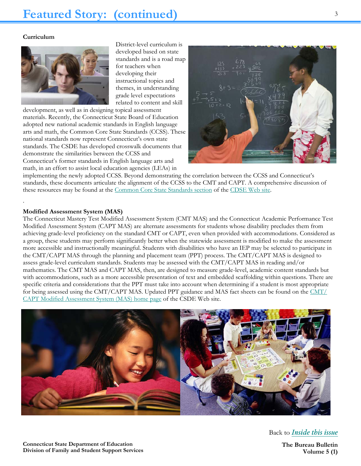#### **Curriculum**

.



District-level curriculum is developed based on state standards and is a road map for teachers when developing their instructional topics and themes, in understanding grade level expectations related to content and skill

development, as well as in designing topical assessment materials. Recently, the Connecticut State Board of Education adopted new national academic standards in English language arts and math, the Common Core State Standards (CCSS). These national standards now represent Connecticut's own state standards. The CSDE has developed crosswalk documents that demonstrate the similarities between the CCSS and Connecticut's former standards in English language arts and math, in an effort to assist local education agencies (LEAs) in



implementing the newly adopted CCSS. Beyond demonstrating the correlation between the CCSS and Connecticut's standards, these documents articulate the alignment of the CCSS to the CMT and CAPT. A comprehensive discussion of these resources may be found at the [Common Core State Standards section o](http://www.sde.ct.gov/sde/cwp/view.asp?a=2618&q=322592)f the [CDSE Web site.](http://www.sde.ct.gov/sde/site/default.asp) 

#### **Modified Assessment System (MAS)**

The Connecticut Mastery Test Modified Assessment System (CMT MAS) and the Connecticut Academic Performance Test Modified Assessment System (CAPT MAS) are alternate assessments for students whose disability precludes them from achieving grade-level proficiency on the standard CMT or CAPT, even when provided with accommodations. Considered as a group, these students may perform significantly better when the statewide assessment is modified to make the assessment more accessible and instructionally meaningful. Students with disabilities who have an IEP may be selected to participate in the CMT/CAPT MAS through the planning and placement team (PPT) process. The CMT/CAPT MAS is designed to assess grade-level curriculum standards. Students may be assessed with the CMT/CAPT MAS in reading and/or mathematics. The CMT MAS and CAPT MAS, then, are designed to measure grade-level, academic content standards but with accommodations, such as a more accessible presentation of text and embedded scaffolding within questions. There are specific criteria and considerations that the PPT must take into account when determining if a student is most appropriate for being assessed using the CMT/CAPT MAS. Updated PPT guidance and MAS fact sheets can be found on the [CMT/](http://www.csde.state.ct.us/public/cedar/assessment/mas/index.htm) [CAPT Modified Assessment System \(MAS\) home page o](http://www.csde.state.ct.us/public/cedar/assessment/mas/index.htm)f the CSDE Web site.



Back to *[Inside this issue](#page-0-0)*

3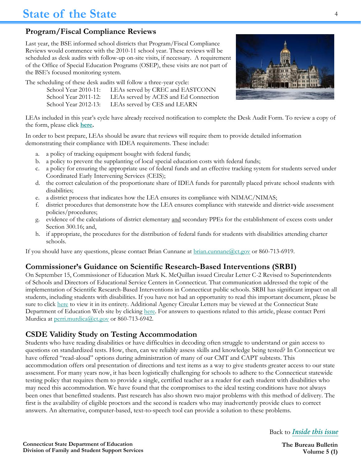# **Program/Fiscal Compliance Reviews**

Last year, the BSE informed school districts that Program/Fiscal Compliance Reviews would commence with the 2010-11 school year. These reviews will be scheduled as desk audits with follow-up on-site visits, if necessary. A requirement of the Office of Special Education Programs (OSEP), these visits are not part of the BSE's focused monitoring system.

The scheduling of these desk audits will follow a three-year cycle:

| School Year 2010-11: | LEAs served by CREC and EASTCONN      |
|----------------------|---------------------------------------|
| School Year 2011-12: | LEAs served by ACES and Ed Connection |
| School Year 2012-13: | LEAs served by CES and LEARN          |



LEAs included in this year's cycle have already received notification to complete the Desk Audit Form. To review a copy of the form, please click **[here.](http://ctserc.org/bb/winter2010/p4%20aBulletin_Program%20and%20Fiscal%20Compliance%20Review.ATTACHMENT.pdf)** 

In order to best prepare, LEAs should be aware that reviews will require them to provide detailed information demonstrating their compliance with IDEA requirements. These include:

- a. a policy of tracking equipment bought with federal funds;
- b. a policy to prevent the supplanting of local special education costs with federal funds;
- c. a policy for ensuring the appropriate use of federal funds and an effective tracking system for students served under Coordinated Early Intervening Services (CEIS);
- d. the correct calculation of the proportionate share of IDEA funds for parentally placed private school students with disabilities;
- e. a district process that indicates how the LEA ensures its compliance with NIMAC/NIMAS;
- f. district procedures that demonstrate how the LEA ensures compliance with statewide and district-wide assessment policies/procedures;
- g. evidence of the calculations of district elementary and secondary PPEs for the establishment of excess costs under Section 300.16; and,
- h. if appropriate, the procedures for the distribution of federal funds for students with disabilities attending charter schools.

If you should have any questions, please contact Brian Cunnane at [brian.cunnane@ct.gov](mailto:Brian.Cunnane@ct.gov) or 860-713-6919.

### **Commissioner's Guidance on Scientific Research-Based Interventions (SRBI)**

On September 15, Commissioner of Education Mark K. McQuillan issued Circular Letter C-2 Revised to Superintendents of Schools and Directors of Educational Service Centers in Connecticut. That communication addressed the topic of the implementation of Scientific Research-Based Interventions in Connecticut public schools. SRBI has significant impact on all students, including students with disabilities. If you have not had an opportunity to read this important document, please be sure to click [here](http://www.sde.ct.gov/sde/lib/sde/pdf/circ/circ10-11/c2.pdf) to view it in its entirety. Additional Agency Circular Letters may be viewed at the Connecticut State Department of Education Web site by clicking [here.](http://www.sde.ct.gov/sde/cwp/view.asp?a=2615&Q=321214) For answers to questions related to this article, please contact Perri Murdica at [perri.murdica@ct.gov](mailto:perri.murdica@ct.gov) or 860-713-6942.

### **CSDE Validity Study on Testing Accommodation**

Students who have reading disabilities or have difficulties in decoding often struggle to understand or gain access to questions on standardized tests. How, then, can we reliably assess skills and knowledge being tested? In Connecticut we have offered "read-aloud" options during administration of many of our CMT and CAPT subtests. This accommodation offers oral presentation of directions and test items as a way to give students greater access to our state assessment. For many years now, it has been logistically challenging for schools to adhere to the Connecticut statewide testing policy that requires them to provide a single, certified teacher as a reader for each student with disabilities who may need this accommodation. We have found that the compromises to the ideal testing conditions have not always been ones that benefitted students. Past research has also shown two major problems with this method of delivery. The first is the availability of eligible proctors and the second is readers who may inadvertently provide clues to correct answers. An alternative, computer-based, text-to-speech tool can provide a solution to these problems.

Back to *[Inside this issue](#page-0-0)*

4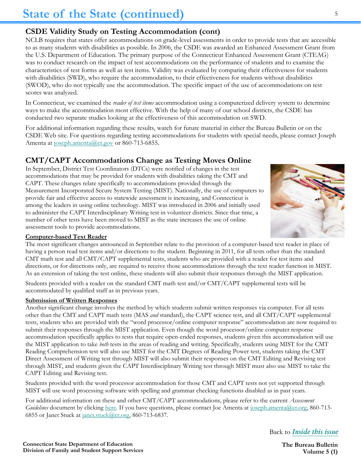# **CSDE Validity Study on Testing Accommodation (cont)**

NCLB requires that states offer accommodations on grade-level assessments in order to provide tests that are accessible to as many students with disabilities as possible. In 2006, the CSDE was awarded an Enhanced Assessment Grant from the U.S. Department of Education. The primary purpose of the Connecticut Enhanced Assessment Grant (CTEAG) was to conduct research on the impact of test accommodations on the performance of students and to examine the characteristics of test forms as well as test items. Validity was evaluated by comparing their effectiveness for students with disabilities (SWD), who require the accommodation, to their effectiveness for students without disabilities (SWOD), who do not typically use the accommodation. The specific impact of the use of accommodations on test scores was analyzed.

In Connecticut, we examined the *reader of test items* accommodation using a computerized delivery system to determine ways to make the accommodation most effective. With the help of many of our school districts, the CSDE has conducted two separate studies looking at the effectiveness of this accommodation on SWD.

For additional information regarding these results, watch for future material in either the Bureau Bulletin or on the CSDE Web site. For questions regarding testing accommodations for students with special needs, please contact Joseph Amenta at [joseph.amenta@ct.gov o](mailto:joseph.amenta@ct.gov)r 860-713-6855.

# **CMT/CAPT Accommodations Change as Testing Moves Online**

In September, District Test Coordinators (DTCs) were notified of changes in the test accommodations that may be provided for students with disabilities taking the CMT and CAPT. These changes relate specifically to accommodations provided through the Measurement Incorporated Secure System Testing (MIST). Nationally, the use of computers to provide fair and effective access to statewide assessment is increasing, and Connecticut is among the leaders in using online technology. MIST was introduced in 2006 and initially used to administer the CAPT Interdisciplinary Writing test in volunteer districts. Since that time, a number of other tests have been moved to MIST as the state increases the use of online assessment tools to provide accommodations.



#### **Computer-based Text Reader**

The most significant changes announced in September relate to the provision of a computer-based text reader in place of having a person read test items and/or directions to the student. Beginning in 2011, for all tests other than the standard CMT math test and all CMT/CAPT supplemental tests, students who are provided with a reader for test items and directions, or for directions only, are required to receive those accommodations through the text reader function in MIST. As an extension of taking the test online, these students will also submit their responses through the MIST application.

Students provided with a reader on the standard CMT math test and/or CMT/CAPT supplemental tests will be accommodated by qualified staff as in previous years.

#### **Submission of Written Responses**

Another significant change involves the method by which students submit written responses via computer. For all tests other than the CMT and CAPT math tests (MAS *and* standard), the CAPT science test, and all CMT/CAPT supplemental tests, students who are provided with the "word processor/online computer response" accommodation are now required to submit their responses through the MIST application. Even though the word processor/online computer response accommodation specifically applies to tests that require open-ended responses, students given this accommodation will use the MIST application to take *both* tests in the areas of reading and writing. Specifically, students using MIST for the CMT Reading Comprehension test will also use MIST for the CMT Degrees of Reading Power test, students taking the CMT Direct Assessment of Writing test through MIST will also submit their responses on the CMT Editing and Revising test through MIST, and students given the CAPT Interdisciplinary Writing test through MIST must also use MIST to take the CAPT Editing and Revising test.

Students provided with the word processor accommodation for those CMT and CAPT tests not yet supported through MIST will use word processing software with spelling and grammar checking functions disabled as in past years.

For additional information on these and other CMT/CAPT accommodations, please refer to the current *Assessment Guidelines* document by clicking [here.](http://www.csde.state.ct.us/public/cedar/assessment/agl/resources/AssessmentGuideline2010-11.pdf) If you have questions, please contact Joe Amenta at [joseph.amenta@ct.org,](mailto:joseph.amenta@ct.org) 860-713-6855 or Janet Stuck at [janet.stuck@ct.org,](mailto:janet.stuck@ct.org) 860-713-6837.

Back to *[Inside this issue](#page-0-0)*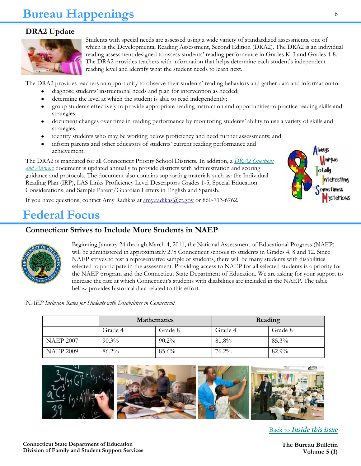# **Bureau Happenings**

# **DRA2 Update**



Students with special needs are assessed using a wide variety of standardized assessments, one of which is the Developmental Reading Assessment, Second Edition (DRA2). The DRA2 is an individual reading assessment designed to assess students' reading performance in Grades K-3 and Grades 4-8. The DRA2 provides teachers with information that helps determine each student's independent reading level and identify what the student needs to learn next.

The DRA2 provides teachers an opportunity to observe their students' reading behaviors and gather data and information to:

- diagnose students' instructional needs and plan for intervention as needed;
- determine the level at which the student is able to read independently;
- group students effectively to provide appropriate reading instruction and opportunities to practice reading skills and strategies;
- document changes over time in reading performance by monitoring students' ability to use a variety of skills and strategies;
- identify students who may be working below proficiency and need further assessments; and
- inform parents and other educators of students' current reading performance and achievement.

The DRA2 is mandated for all Connecticut Priority School Districts. In addition, a *[DRA2 Questions](http://www.sde.ct.gov/sde/lib/sde/pdf/curriculum/language_arts/DRA2_QA_2010.pdf)  [and Answers](http://www.sde.ct.gov/sde/lib/sde/pdf/curriculum/language_arts/DRA2_QA_2010.pdf)* document is updated annually to provide districts with administration and scoring guidance and protocols. The document also contains supporting materials such as: the Individual Reading Plan (IRP), LAS Links Proficiency Level Descriptors Grades 1-5, Special Education Considerations, and Sample Parent/Guardian Letters in English and Spanish.



If you have questions, contact Amy Radikas at [amy.radikas@ct.gov o](mailto:amy.radikas@ct.gov)r 860-713-6762.

# **Federal Focus**

### **Connecticut Strives to Include More Students in NAEP**



Beginning January 24 through March 4, 2011, the National Assessment of Educational Progress (NAEP) will be administered in approximately 275 Connecticut schools to students in Grades 4, 8 and 12. Since NAEP strives to test a representative sample of students, there will be many students with disabilities selected to participate in the assessment. Providing access to NAEP for all selected students is a priority for the NAEP program and the Connecticut State Department of Education. We are asking for your support to increase the rate at which Connecticut's students with disabilities are included in the NAEP. The table below provides historical data related to this effort.

*NAEP Inclusion Rates for Students with Disabilities in Connecticut* 

|                  | <b>Mathematics</b> |          | Reading  |         |
|------------------|--------------------|----------|----------|---------|
|                  | Grade 4            | Grade 8  | Grade 4  | Grade 8 |
| <b>NAEP 2007</b> | $90.3\%$           | $90.2\%$ | 81.8%    | 85.3%   |
| <b>NAEP 2009</b> | $86.2\%$           | $85.6\%$ | $76.2\%$ | 82.9%   |



Back to *[Inside this issue](#page-0-0)*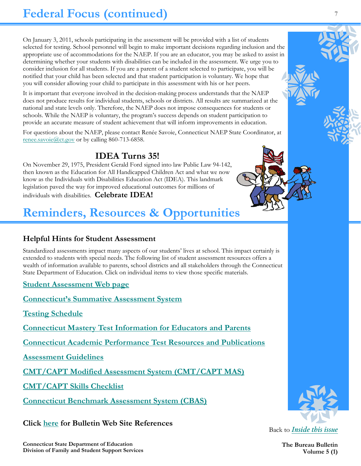On January 3, 2011, schools participating in the assessment will be provided with a list of students selected for testing. School personnel will begin to make important decisions regarding inclusion and the appropriate use of accommodations for the NAEP. If you are an educator, you may be asked to assist in determining whether your students with disabilities can be included in the assessment. We urge you to consider inclusion for all students. If you are a parent of a student selected to participate, you will be notified that your child has been selected and that student participation is voluntary. We hope that you will consider allowing your child to participate in this assessment with his or her peers.

It is important that everyone involved in the decision-making process understands that the NAEP does not produce results for individual students, schools or districts. All results are summarized at the national and state levels only. Therefore, the NAEP does not impose consequences for students or schools. While the NAEP is voluntary, the program's success depends on student participation to provide an accurate measure of student achievement that will inform improvements in education.

For questions about the NAEP, please contact Renée Savoie, Connecticut NAEP State Coordinator, at [renee.savoie@ct.gov](mailto:renee.savoie@ct.gov) or by calling 860-713-6858.

# **IDEA Turns 35!**

On November 29, 1975, President Gerald Ford signed into law Public Law 94-142, then known as the Education for All Handicapped Children Act and what we now know as the Individuals with Disabilities Education Act (IDEA). This landmark legislation paved the way for improved educational outcomes for millions of individuals with disabilities. **Celebrate IDEA!**

# **Reminders, Resources & Opportunities**

# **Helpful Hints for Student Assessment**

Standardized assessments impact many aspects of our students' lives at school. This impact certainly is extended to students with special needs. The following list of student assessment resources offers a wealth of information available to parents, school districts and all stakeholders through the Connecticut State Department of Education. Click on individual items to view those specific materials.

**[Student Assessment Web page](http://www.csde.state.ct.us/public/cedar/assessment/index.htm)** 

**[Connecticut's Summative Assessment System](http://www.csde.state.ct.us/public/cedar/assessment/common/Connecticut)**

**[Testing Schedule](http://www.csde.state.ct.us/public/cedar/assessment/schedule/CMT%20an%20CAPT%20testing%20window%202011-2014.pdf)**

**[Connecticut Mastery Test Information for Educators and Parents](http://www.csde.state.ct.us/public/cedar/assessment/cmt/index.htm)**

**[Connecticut Academic Performance Test Resources and Publications](http://www.csde.state.ct.us/public/cedar/assessment/capt/index.htm)**

**[Assessment Guidelines](http://www.csde.state.ct.us/public/cedar/assessment/agl/resources/AssessmentGuideline2010-11.pdf)**

**[CMT/CAPT Modified Assessment System \(CMT/CAPT MAS\)](http://www.csde.state.ct.us/public/cedar/assessment/mas/index.htm)**

**[CMT/CAPT Skills Checklist](http://www.csde.state.ct.us/public/cedar/assessment/checklist/index.htm)**

**[Connecticut Benchmark Assessment System \(CBAS\)](http://www.csde.state.ct.us/public/cedar/assessment/cbas/index.htm)**

**Click [here f](http://ctserc.org/bb/winter2010/bbreferences.html)or Bulletin Web Site References**



Back to *[Inside this issue](#page-0-0)*

**Connecticut State Department of Education Division of Family and Student Support Services**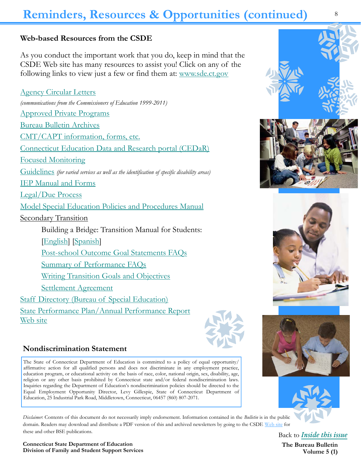# **Reminders, Resources & Opportunities (continued)**

### **Web-based Resources from the CSDE**

As you conduct the important work that you do, keep in mind that the CSDE Web site has many resources to assist you! Click on any of the following links to view just a few or find them at: [www.sde.ct.gov](http://www.sde.ct.gov) 

[Agency Circular Letters](http://www.sde.ct.gov/sde/cwp/view.asp?a=2615&Q=321214)  *(communications from the Commissioners of Education 1999-2011)* [Approved Private Programs](http://www.sde.ct.gov/sde/cwp/view.asp?a=2678&Q=320730#Approved) [Bureau Bulletin Archives](http://www.sde.ct.gov/sde/cwp/view.asp?a=2678&q=320720) [CMT/CAPT information, forms, etc.](http://www.sde.ct.gov/sde/cwp/view.asp?a=2678&Q=320730#CMT)  [Connecticut Education Data and Research portal \(CEDaR\)](http://www.csde.state.ct.us/public/cedar/index.htm) [Focused Monitoring](http://www.sde.ct.gov/sde/cwp/view.asp?a=2678&Q=320730#Focused)  [Guidelines](http://www.sde.ct.gov/sde/cwp/view.asp?a=2678&Q=320730#publications) *(for varied services as well as the identification of specific disability areas)*  [IEP Manual and Forms](http://www.sde.ct.gov/sde/cwp/view.asp?a=2678&Q=320730#IEP)  [Legal/Due Process](http://www.sde.ct.gov/sde/lib/sde/PDF/DEPS/Special/Complaint_Resolution.pdf) [Model Special Education Policies and Procedures Manual](http://www.sde.ct.gov/sde/lib/sde/PDF/DEPS/Special/PolicyProceduresManual.pdf) **Secondary Transition**  Building a Bridge: Transition Manual for Students: [[English\]](http://www.sde.ct.gov/sde/lib/sde/PDF/DEPS/Special/BuildingABridge.pdf) [\[Spanish\]](http://www.sde.ct.gov/sde/lib/sde/PDF/DEPS/Special/BuildingABridge_Spanish.pdf) [Post-school Outcome Goal Statements FAQs](http://www.sde.ct.gov/sde/lib/sde/PDF/DEPS/Special/PSOGS_FAQ.pdf) [Summary of Performance FAQs](http://www.sde.ct.gov/sde/lib/sde/PDF/DEPS/Special/TopicBrief-SOPFAQ.pdf) [Writing Transition Goals and Objectives](http://www.sde.ct.gov/sde/lib/sde/PDF/DEPS/Special/Transition_GO.pdf) [Settlement Agreement](http://www.sde.ct.gov/sde/cwp/view.asp?a=2626&q=320792) [Staff Directory \(Bureau of Special Education\)](http://www.sde.ct.gov/sde/lib/sde/PDF/DEPS/Special/BSPED_STAFF.pdf) [State Performance Plan/Annual Performance Report](http://www.sde.ct.gov/sde/cwp/view.asp?a=2626&q=322094)  [Web site](http://www.sde.ct.gov/sde/cwp/view.asp?a=2626&q=322094)



#### **Nondiscrimination Statement**

The State of Connecticut Department of Education is committed to a policy of equal opportunity/ affirmative action for all qualified persons and does not discriminate in any employment practice, education program, or educational activity on the basis of race, color, national origin, sex, disability, age, religion or any other basis prohibited by Connecticut state and/or federal nondiscrimination laws. Inquiries regarding the Department of Education's nondiscrimination policies should be directed to the Equal Employment Opportunity Director, Levy Gillespie, State of Connecticut Department of Education, 25 Industrial Park Road, Middletown, Connecticut, 06457 (860) 807-2071.

*Disclaimer*: Contents of this document do not necessarily imply endorsement. Information contained in the *Bulletin* is in the public domain. Readers may download and distribute a PDF version of this and archived newsletters by going to the CSDE [Web site](http://www.sde.ct.gov/sde/cwp/view.asp?a=2678&Q=320730#ublications) for these and other BSE publications. Back to *[Inside this issue](#page-0-0)*









**The Bureau Bulletin**

**Volume 5 (1)** 

8

**Connecticut State Department of Education Division of Family and Student Support Services**